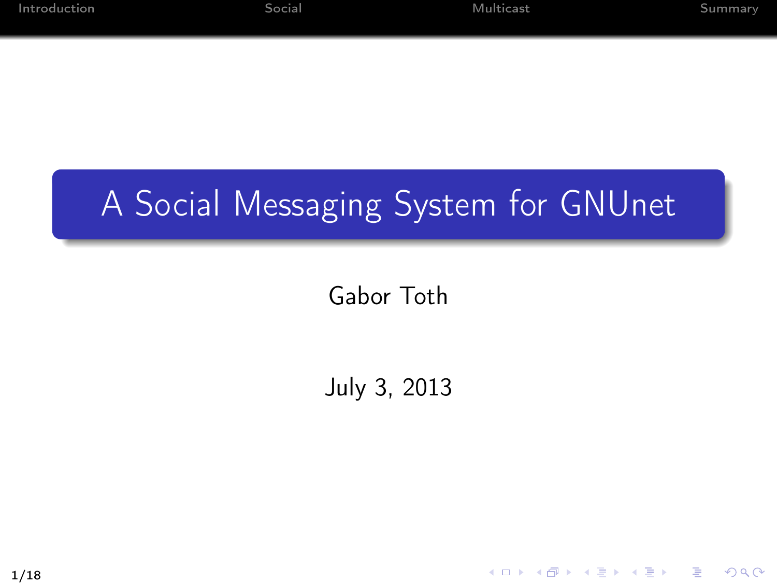K ロ > K 레 > K 플 > K 플 > - 플 - K 0 Q Q

#### A Social Messaging System for GNUnet

Gabor Toth

July 3, 2013

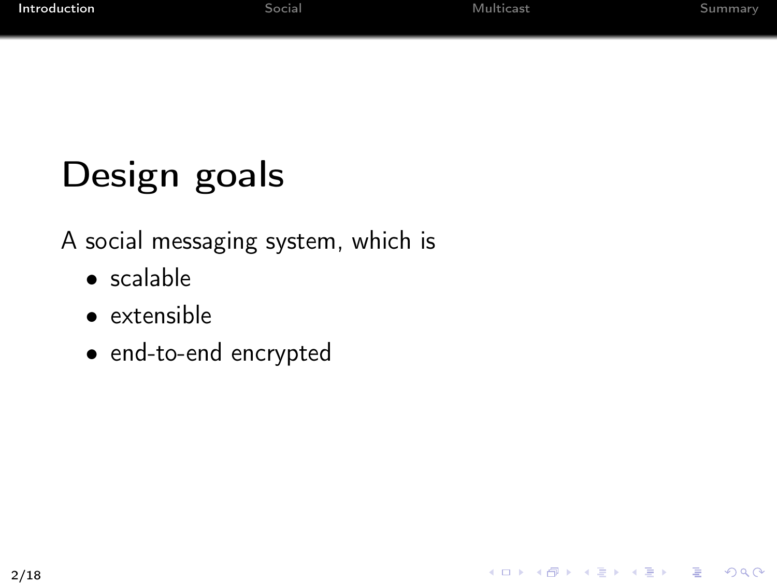# Design goals

A social messaging system, which is

- scalable
- extensible
- <span id="page-1-0"></span>• end-to-end encrypted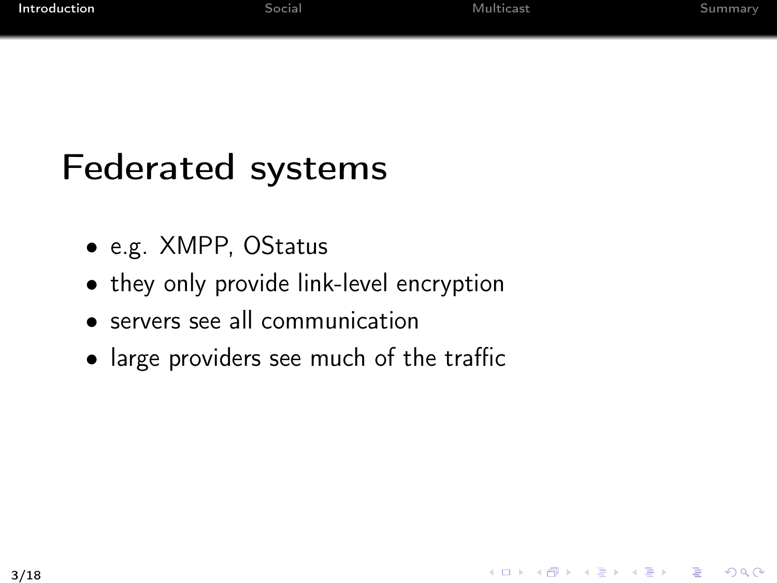## Federated systems

- e.g. XMPP, OStatus
- they only provide link-level encryption
- servers see all communication
- large providers see much of the traffic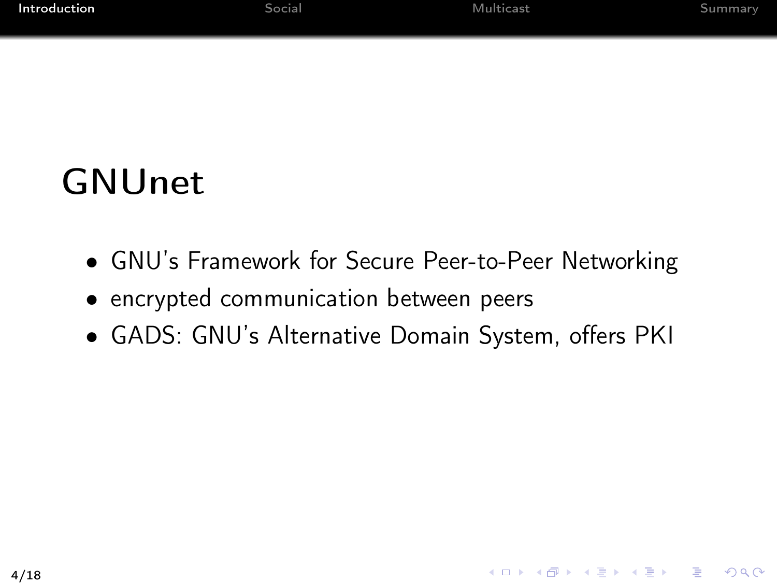## **GNUnet**

- GNU's Framework for Secure Peer-to-Peer Networking
- encrypted communication between peers
- GADS: GNU's Alternative Domain System, offers PKI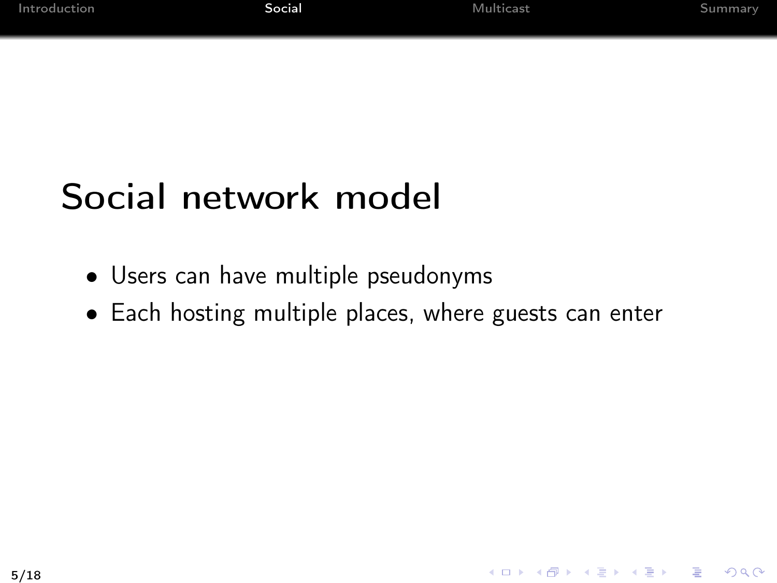## Social network model

- Users can have multiple pseudonyms
- <span id="page-4-0"></span>• Each hosting multiple places, where guests can enter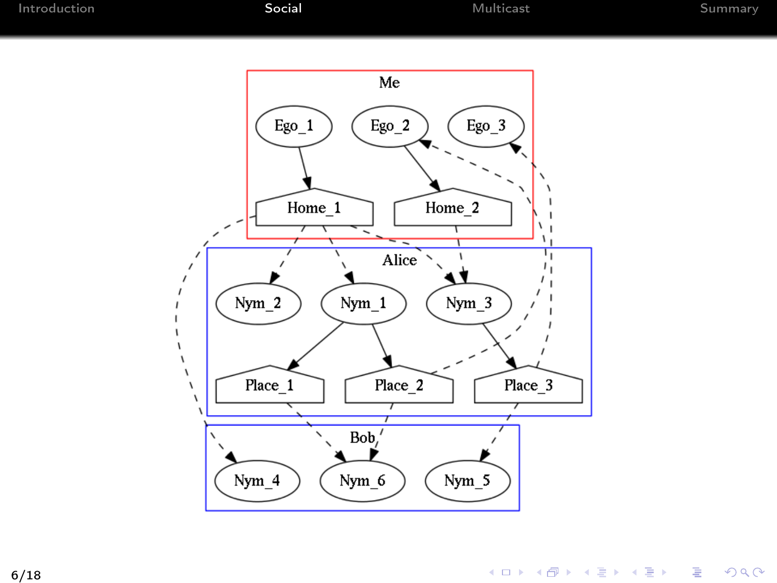

K ロ ▶ K @ ▶ K 결 ▶ K 결 ▶ ○ 결 ○  $2990$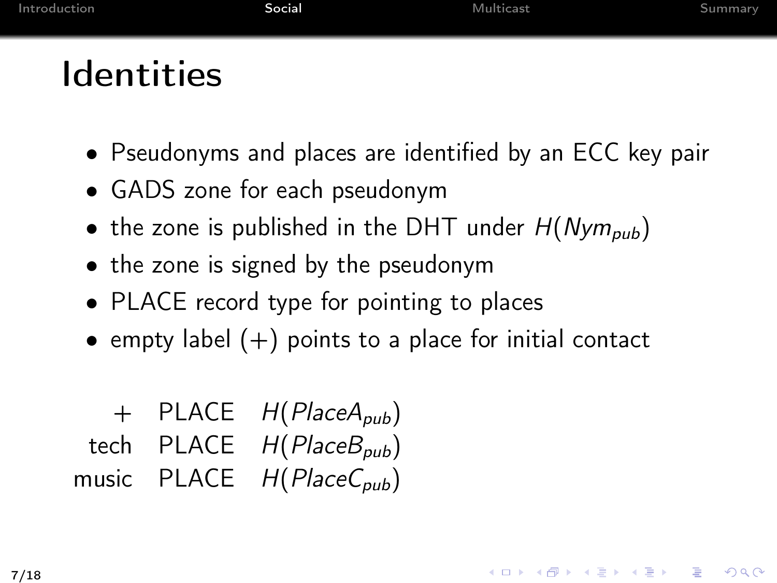## Identities

- Pseudonyms and places are identified by an ECC key pair
- GADS zone for each pseudonym
- the zone is published in the DHT under  $H(Nym_{\text{sub}})$
- the zone is signed by the pseudonym
- PLACE record type for pointing to places
- empty label  $(+)$  points to a place for initial contact

+ PLACE 
$$
H(PlaceA_{pub})
$$
  
tech PLACE  $H(PlaceB_{pub})$   
 music PLACE  $H(PlaceC_{pub})$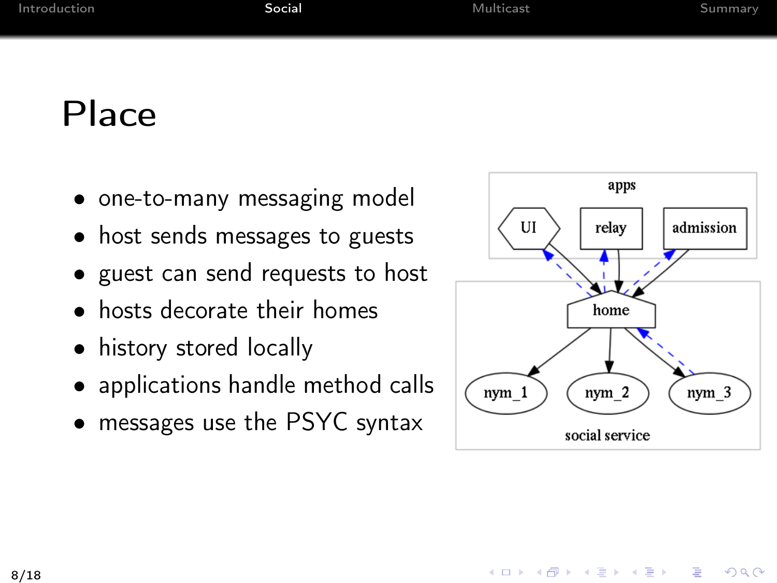#### Place

- one-to-many messaging model
- host sends messages to guests
- guest can send requests to host
- hosts decorate their homes
- history stored locally
- applications handle method calls
- messages use the PSYC syntax

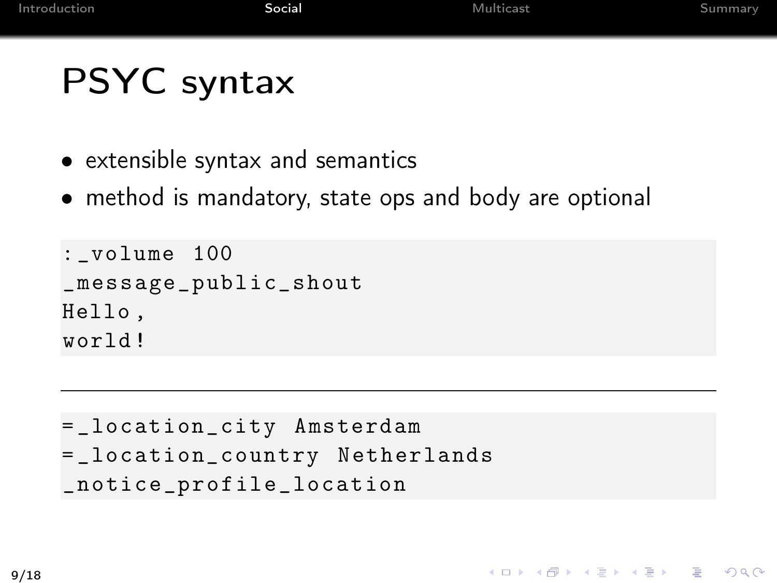## PSYC syntax

- extensible syntax and semantics
- method is mandatory, state ops and body are optional

```
: _volume 100
_message_public_shout
Hello ,
world !
```

```
= _location_city Amsterdam
= _location_country Netherlands
_notice_profile_location
```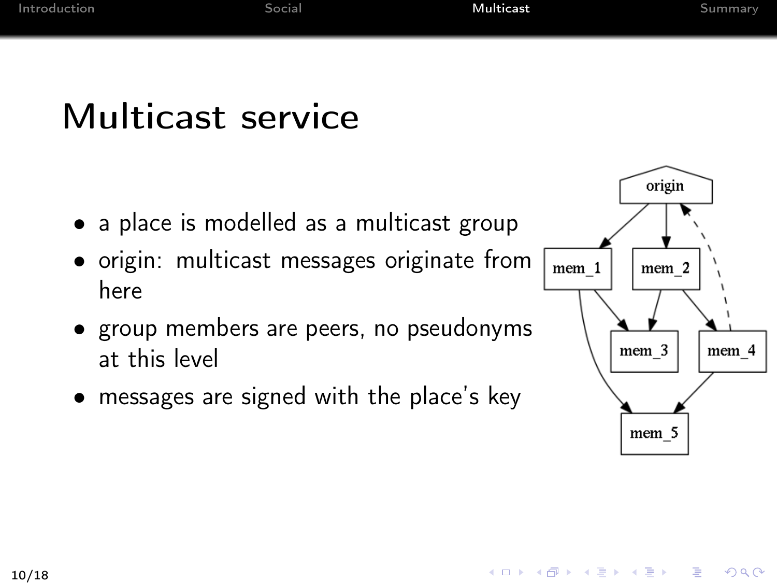#### Multicast service

- a place is modelled as a multicast group
- origin: multicast messages originate from here
- group members are peers, no pseudonyms at this level
- messages are signed with the place's key



<span id="page-9-0"></span>K ロ > K 레 > K 코 > K 코 > 『코 → 이익(^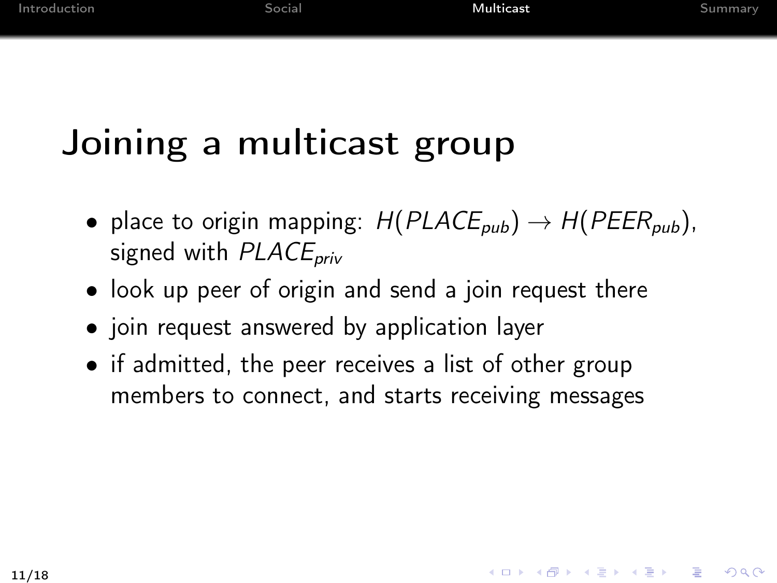# Joining a multicast group

- place to origin mapping:  $H(PLACE_{pub}) \rightarrow H(PEER_{pub})$ , signed with  $PLACE<sub>priv</sub>$
- look up peer of origin and send a join request there
- join request answered by application layer
- if admitted, the peer receives a list of other group members to connect, and starts receiving messages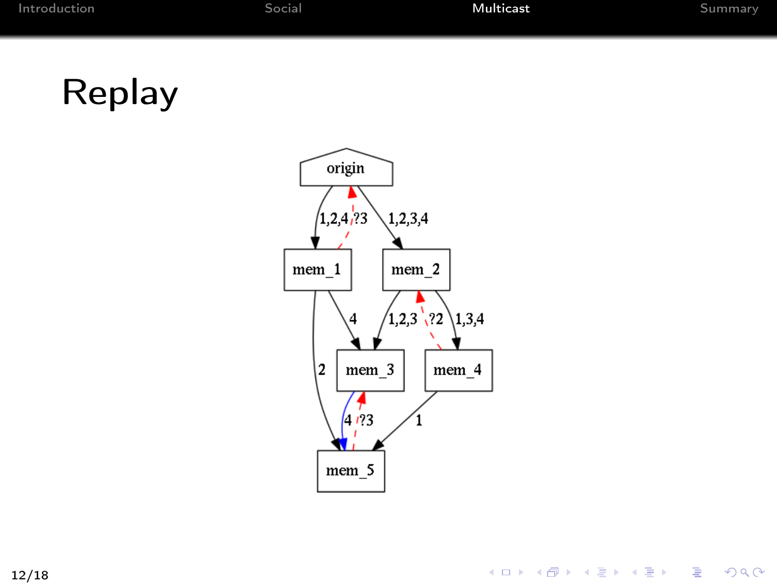# Replay

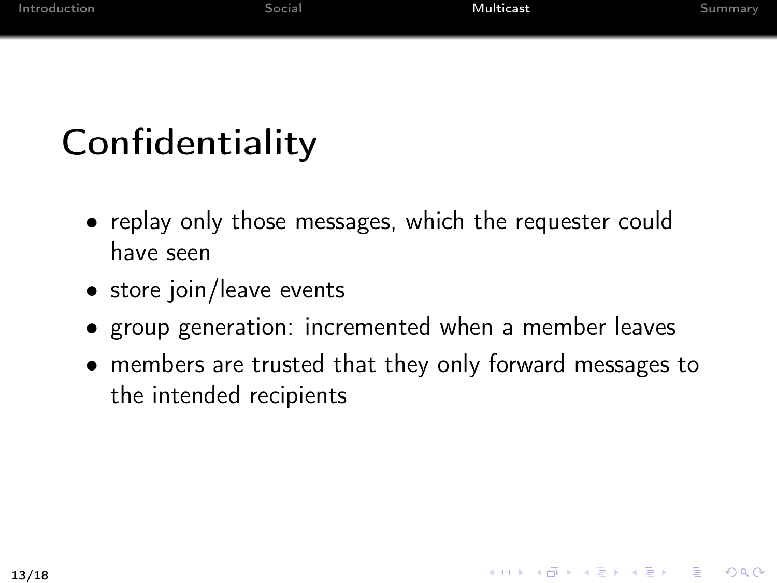# **Confidentiality**

- replay only those messages, which the requester could have seen
- store join/leave events
- group generation: incremented when a member leaves
- members are trusted that they only forward messages to the intended recipients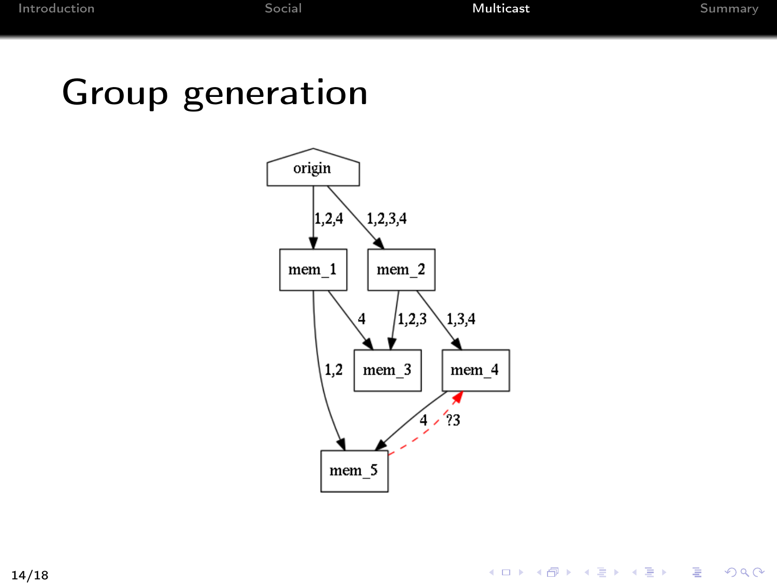#### Group generation



#### K ロ ▶ K @ ▶ K 할 ▶ K 할 ▶ → 할 → 9 Q @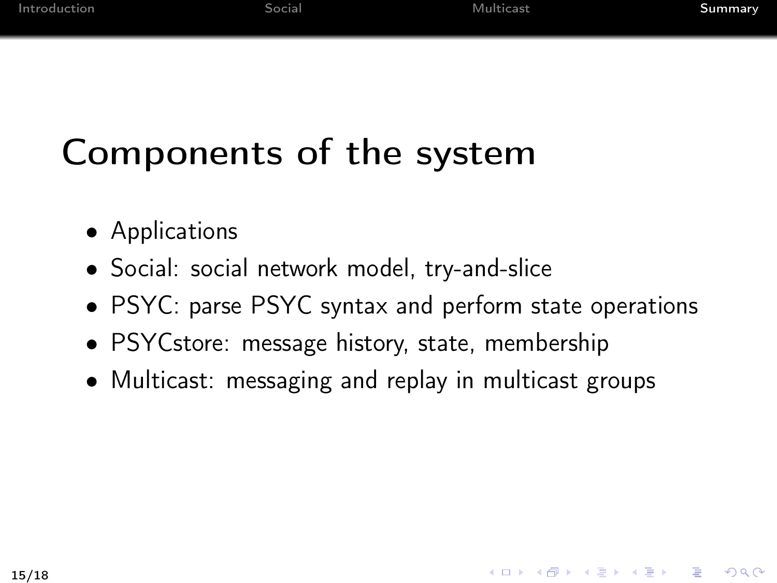<span id="page-14-0"></span>KID KADIK KEIK EI ONG

# Components of the system

- Applications
- Social: social network model, try-and-slice
- PSYC: parse PSYC syntax and perform state operations
- PSYCstore: message history, state, membership
- Multicast: messaging and replay in multicast groups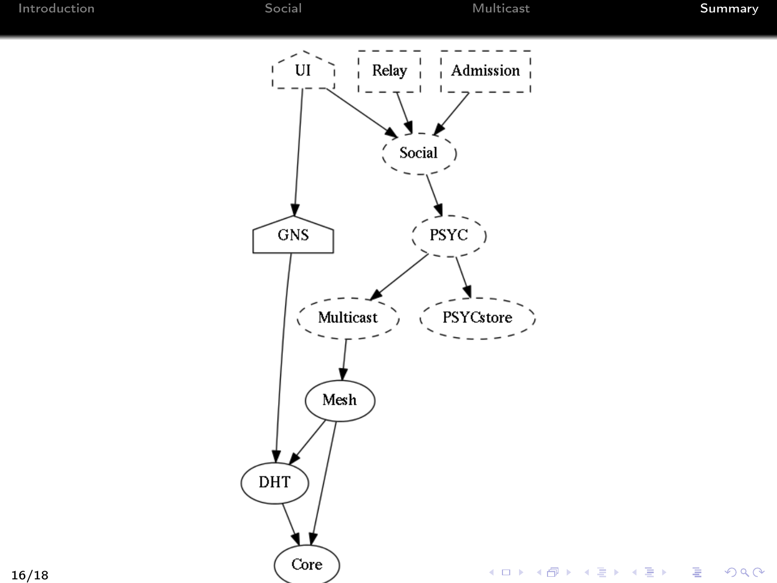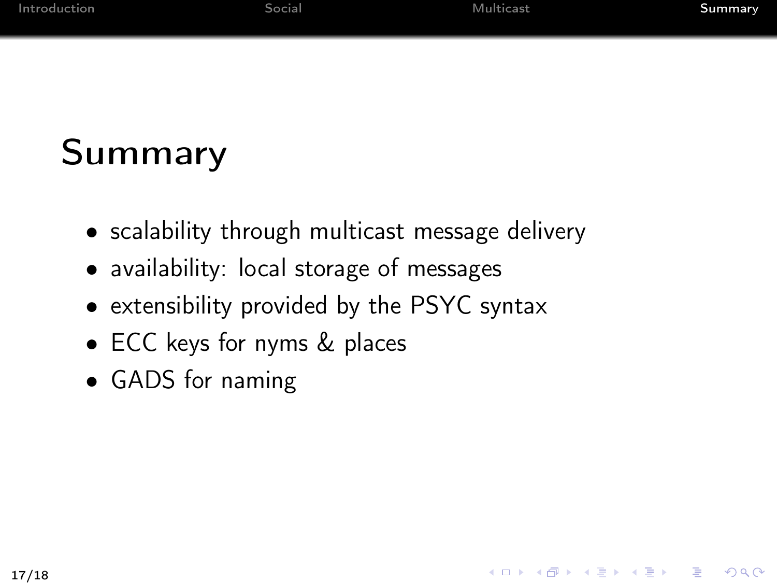K ロ > K 레 > K 코 > K 코 > 『코 → 이익(^

# Summary

- scalability through multicast message delivery
- availability: local storage of messages
- extensibility provided by the PSYC syntax
- ECC keys for nyms & places
- GADS for naming